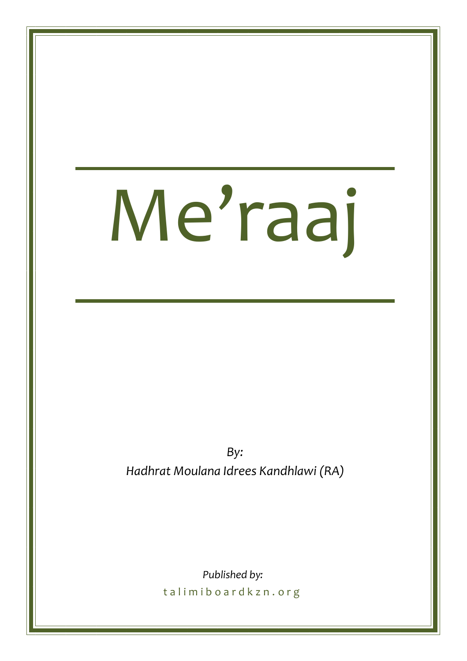# Me'raaj

*By: Hadhrat Moulana Idrees Kandhlawi (RA)* 

> *Published by:* talimiboardkzn.org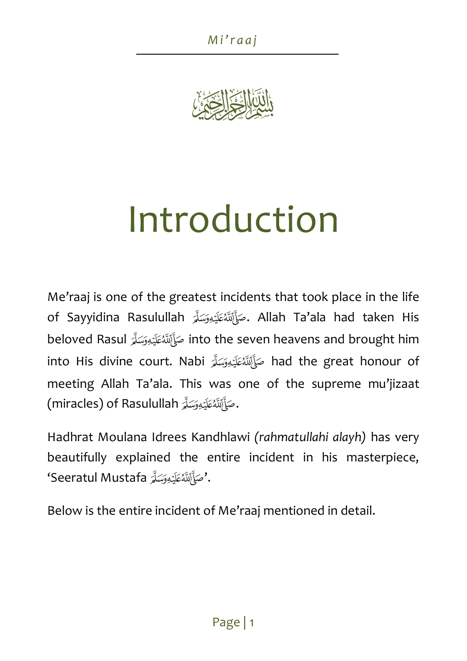# Introduction

Me'raaj is one of the greatest incidents that took place in the life of Sayyidina Rasulullah . Allah Ta'ala had taken His beloved Rasul into the seven heavens and brought him into His divine court. Nabi had the great honour of meeting Allah Ta'ala. This was one of the supreme mu'jizaat (miracles) of Rasulullah .

Hadhrat Moulana Idrees Kandhlawi *(rahmatullahi alayh)* has very beautifully explained the entire incident in his masterpiece, 'Seeratul Mustafa '.

Below is the entire incident of Me'raaj mentioned in detail.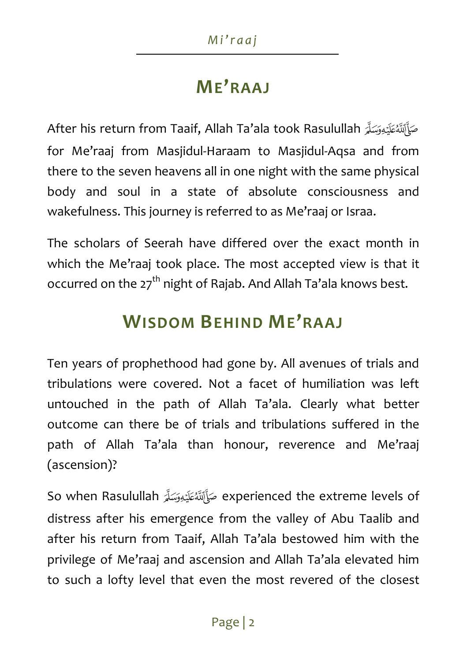# **ME'RAAJ**

After his return from Taaif, Allah Ta'ala took Rasu lullah for Me'raaj from Masjidul-Haraam to Masjidul-Aqsa a nd from there to the seven heavens all in one night with the same physical body and soul in a state of absolute consciousness and wakefulness. This journey is referred to as Me'raaj or Israa.

The scholars of Seerah have differed over the exact month in which the Me'raaj took place. The most accepted view is that it occurred on the  $27<sup>th</sup>$  night of Rajab. And Allah Ta'ala knows best.

# **WISDOM BEHIND ME'RAAJ**

Ten years of prophethood had gone by. All avenues of trials and tribulations were covered. Not a facet of humiliation was left untouched in the path of Allah Ta'ala. Clearly what better outcome can there be of trials and tribulations suffered in the path of Allah Ta'ala than honour, reverence and Me'raaj (ascension)?

So when Rasulullah experienced the extreme levels of distress after his emergence from the valley of Abu Taalib and after his return from Taaif, Allah Ta'ala bestowed him with the privilege of Me'raaj and ascension and Allah Ta'ala elevated him to such a lofty level that even the most revered of the closest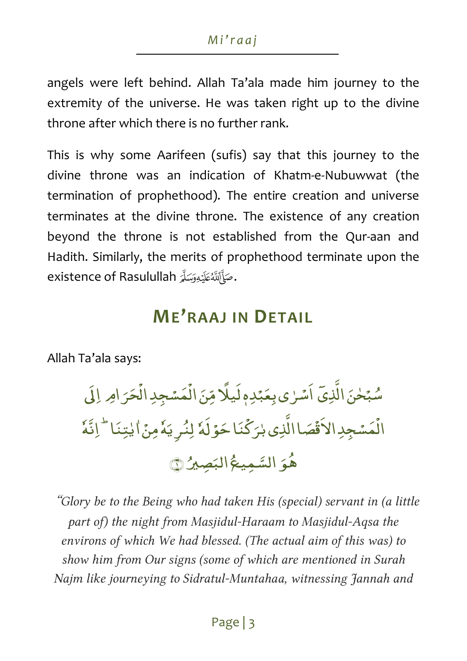angels were left behind. Allah Ta'ala made him journey to the extremity of the universe. He was taken right up to the divine throne after which there is no further rank.

This is why some Aarifeen (sufis) say that this journey to the divine throne was an indication of Khatm-e-Nubuwwat (the termination of prophethood). The entire creation and universe terminates at the divine throne. The existence of any creation beyond the throne is not established from the Qur-aan and Hadith. Similarly, the merits of prophethood terminate upon the existence of Rasulullah .

#### **ME'RAAJ IN DETAIL**

Allah Ta'ala says:

-الذِ Ì سُبۡحٰنَ الَّذِيٓ اَسۡـٰرٰى بِعَبۡدِمٖلَيلَّا مِّنَ الۡمَسۡجِدِالۡحَرَامِ اِلَى  $\overline{\phantom{a}}$ پر<br>پ <sub>ْ</sub><br>مَسْجِدِالُ ؚ<br>? ال j -ىّ اَسْرٰى بِعَبْدِم لَيلًا مِّنَ -َمُّمِنُ الْمِتِنَا <sup>ل</sup>َّ اِنَّهُ ا<br>. -ٰ -نَاحَوۡلَهٗ لِنُرِيَ <u>،</u>  $\mathsf{S}$  $\overline{\phantom{a}}$ - ا اي ٰ بر Ĩ ص <sub>م</sub>َسَجِدِالاَق ់<br>: ال ﴿ Ĭ -صير Î السَّمِيعُ ال<sub>َّ</sub> -7 هُوَ السَّمِيعُ البَصِيرُ ۞

"*Glory be to the Being who had taken His (special) servant in (a little part of) the night from Masjidul-Haraam to Masjidul-Aqsa the environs of which We had blessed. (The actual aim of this was) to show him from Our signs (some of which are mentioned in Surah Najm like journeying to Sidratul-Muntahaa, witnessing Jannah and*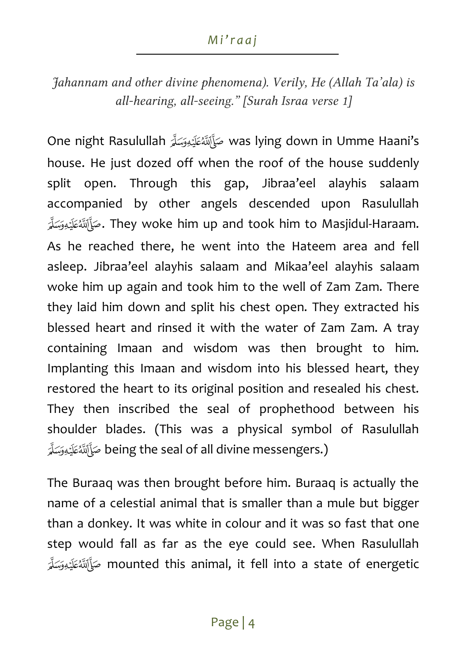*Jahannam and other divine phenomena). Verily, He (Allah Ta'ala) is all-hearing, all-seeing." [Surah Israa verse 1]* 

One night Rasulullah was lying down in Umme Haani's house. He just dozed off when the roof of the house suddenly split open. Through this gap, Jibraa'eel alayhis salaam accompanied by other angels descended upon Rasulull ah مَوَّأَلَةَمُثَلَيْهِ وَسَلَّمَ . They woke him up and took him to Masjidul-Haraam. As he reached there, he went into the Hateem area and fell asleep. Jibraa'eel alayhis salaam and Mikaa'eel alayhis salaam woke him up again and took him to the well of Zam Zam. There they laid him down and split his chest open. They extracted his blessed heart and rinsed it with the water of Zam Zam. A tray containing Imaan and wisdom was then brought to him. Implanting this Imaan and wisdom into his blessed heart, they restored the heart to its original position and resealed his chest. They then inscribed the seal of prophethood between his shoulder blades. (This was a physical symbol of Ras ulullah being the seal of all divine messengers.)

The Buraaq was then brought before him. Buraaq is actually the name of a celestial animal that is smaller than a mule but bigger than a donkey. It was white in colour and it was so fast that one step would fall as far as the eye could see. When R asulullah mounted this animal, it fell into a state of energetic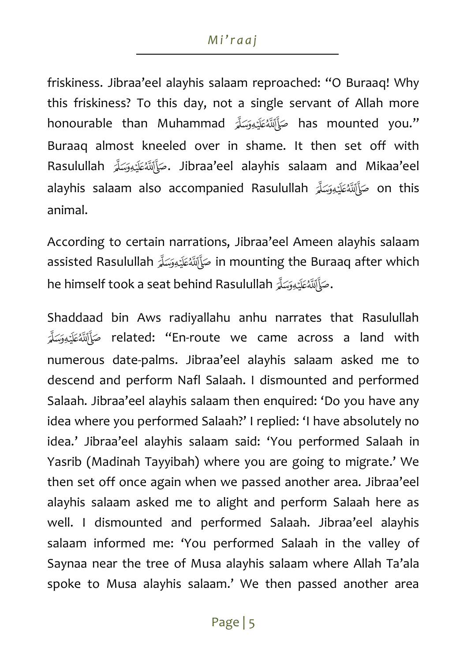friskiness. Jibraa'eel alayhis salaam reproached: "O Buraaq! Why this friskiness? To this day, not a single servant of Allah more honourable than Muhammad حَيَاَّلِلَّهُ عَلَيْهِ وَسَلَّرَ has mounted you." Buraaq almost kneeled over in shame. It then set off with Rasulullah . Jibraa'eel alayhis salaam and Mikaa'eel alayhis salaam also accompanied Rasulullah صَأَلَكْ هَا بِمَعْ الله مَعْ الله عَلَيْهِ مِنْ الله عَل animal.

According to certain narrations, Jibraa'eel Ameen alayhis salaam assisted Rasulullah مَأَلِّلَةُ عَلَيْهِ سَلَّةِ assisted Rasulullah مَأَلِّلَةٌ عَلَيْهِ وَسَلَّةِ he himself took a seat behind Rasulullah .

Shaddaad bin Aws radiyallahu anhu narrates that Ras ulullah related: "En-route we came across a land with numerous date-palms. Jibraa'eel alayhis salaam asked me to descend and perform Nafl Salaah. I dismounted and performed Salaah. Jibraa'eel alayhis salaam then enquired: 'Do you have any idea where you performed Salaah?' I replied: 'I have absolutely no idea.' Jibraa'eel alayhis salaam said: 'You performed Salaah in Yasrib (Madinah Tayyibah) where you are going to migrate.' We then set off once again when we passed another area. Jibraa'eel alayhis salaam asked me to alight and perform Salaah here as well. I dismounted and performed Salaah. Jibraa'eel alayhis salaam informed me: 'You performed Salaah in the valley of Saynaa near the tree of Musa alayhis salaam where Allah Ta'ala spoke to Musa alayhis salaam.' We then passed another area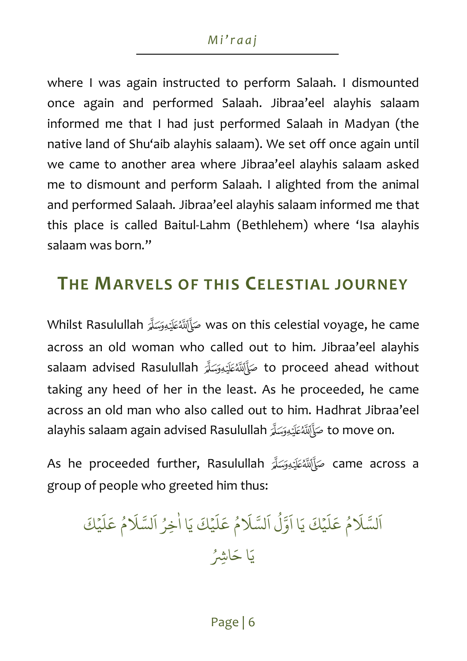where I was again instructed to perform Salaah. I dismounted once again and performed Salaah. Jibraa'eel alayhis salaam informed me that I had just performed Salaah in Madyan (the native land of Shu'aib alayhis salaam). We set off once again until we came to another area where Jibraa'eel alayhis salaam asked me to dismount and perform Salaah. I alighted from the animal and performed Salaah. Jibraa'eel alayhis salaam informed me that this place is called Baitul-Lahm (Bethlehem) where 'Isa alayhis salaam was born."

# **THE MARVELS OF THIS CELESTIAL JOURNEY**

Whilst Rasulullah was on this celestial voyage, he came across an old woman who called out to him. Jibraa'eel alayhis salaam advised Rasulullah to proceed ahead without taking any heed of her in the least. As he proceeded, he came across an old man who also called out to him. Hadhrat Jibraa'eel alayhis salaam again advised Rasulullah to move on.

As he proceeded further, Rasulullah صَأَلَلَهُ عَلَيْهِ وَسَلَّةِ ame across a group of people who greeted him thus:

ُ م َ لس َ ا كَ ْ ي َ ل َ ع ا َ ي ُ ل و َ ا ُ م َ لس َ ا كَ ْ ي َ ل َ ع ا َ ي ُ ِخر ٰ ا ُ م َ لس َ ا كَ ْ ي َ ل َ ع ا َ ي ِ اشُ َ ح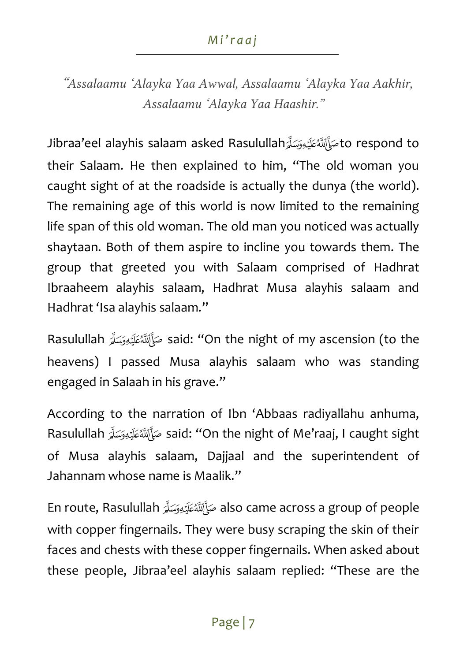"*Assalaamu 'Alayka Yaa Awwal, Assalaamu 'Alayka Yaa Aakhir, Assalaamu 'Alayka Yaa Haashir."* 

Jibraa'eel alayhis salaam asked Rasulullahto respond to their Salaam. He then explained to him, "The old woman you caught sight of at the roadside is actually the dunya (the world). The remaining age of this world is now limited to the remaining life span of this old woman. The old man you noticed was actually shaytaan. Both of them aspire to incline you towards them. The group that greeted you with Salaam comprised of Hadhrat Ibraaheem alayhis salaam, Hadhrat Musa alayhis salaam and Hadhrat 'Isa alayhis salaam."

Rasulullah said: "On the night of my ascension (to the heavens) I passed Musa alayhis salaam who was standing engaged in Salaah in his grave."

According to the narration of Ibn 'Abbaas radiyallahu anhuma, Rasulullah said: "On the night of Me'raaj, I caught sight of Musa alayhis salaam, Dajjaal and the superintendent of Jahannam whose name is Maalik."

En route, Rasulullah also came across a group of people with copper fingernails. They were busy scraping the skin of their faces and chests with these copper fingernails. When asked about these people, Jibraa'eel alayhis salaam replied: "These are the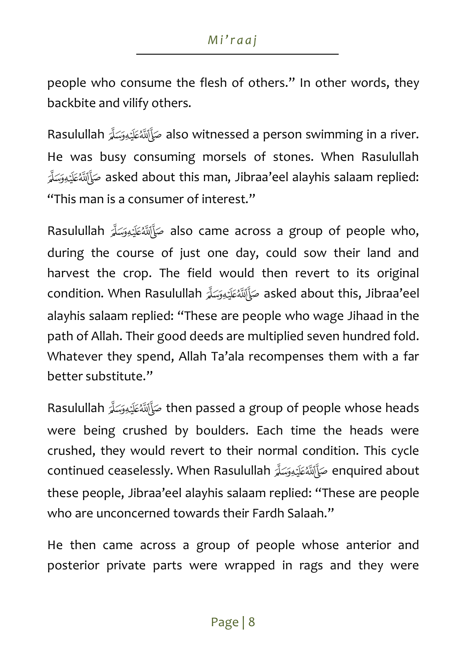people who consume the flesh of others." In other words, they backbite and vilify others.

Rasulullah صَرَّأَلِنَّهُ عَلَيْهِ وَسَلَّرَ also witnessed a person swimming in a river. asked about this man, Jibraa'eel alayhis salaam replied: He was busy consuming morsels of stones. When Rasulullah "This man is a consumer of interest."

Rasulullah مَكَأَلِّلَةُ عَلَيْهِ وَسَلَّمَ also came across a group of people who, during the course of just one day, could sow their land and harvest the crop. The field would then revert to its original condition. When Rasulullah asked about this, Jibraa'eel alayhis salaam replied: "These are people who wage Jihaad in the path of Allah. Their good deeds are multiplied seven hundred fold. Whatever they spend, Allah Ta'ala recompenses them with a far better substitute."

Rasulullah then passed a group of people whose heads were being crushed by boulders. Each time the heads were crushed, they would revert to their normal condition. This cycle continued ceaselessly. When Rasulullah enquired about these people, Jibraa'eel alayhis salaam replied: "These are people who are unconcerned towards their Fardh Salaah."

He then came across a group of people whose anterior and posterior private parts were wrapped in rags and they were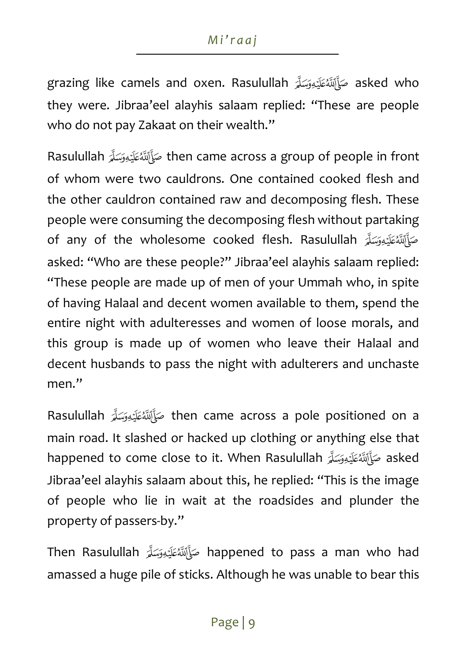grazing like camels and oxen. Rasulullah asked who they were. Jibraa'eel alayhis salaam replied: "These are people who do not pay Zakaat on their wealth."

Rasulullah then came across a group of people in front of whom were two cauldrons. One contained cooked flesh and the other cauldron contained raw and decomposing flesh. These people were consuming the decomposing flesh without partaking of any of the wholesome cooked flesh. Rasulullah asked: "Who are these people?" Jibraa'eel alayhis salaam replied: "These people are made up of men of your Ummah who, in spite of having Halaal and decent women available to them, spend the entire night with adulteresses and women of loose morals, and this group is made up of women who leave their Halaal and decent husbands to pass the night with adulterers and unchaste men."

Rasulullah then came across a pole positioned on a main road. It slashed or hacked up clothing or anything else that happened to come close to it. When Rasulullah حَبَاَّلِّلْهُ عَلَيْهِ وَسَلَّهُمْ asked Jibraa'eel alayhis salaam about this, he replied: "This is the image of people who lie in wait at the roadsides and plunder the property of passers-by."

Then Rasulullah happened to pass a man who had amassed a huge pile of sticks. Although he was unable to bear this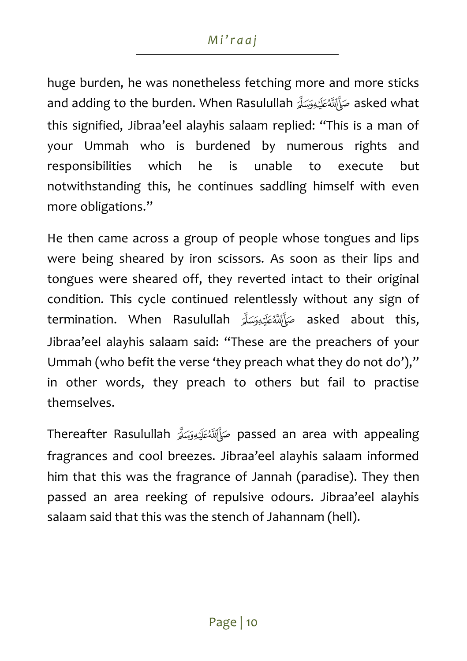huge burden, he was nonetheless fetching more and more sticks and adding to the burden. When Rasulullah صَأَلَةَ عَلَيْهِ وَسَلَّهُ asked what this signified, Jibraa'eel alayhis salaam replied: "This is a man of your Ummah who is burdened by numerous rights and responsibilities which he is unable to execute but notwithstanding this, he continues saddling himself with even more obligations."

He then came across a group of people whose tongues and lips were being sheared by iron scissors. As soon as their lips and tongues were sheared off, they reverted intact to their original condition. This cycle continued relentlessly without any sign of termination. When Rasulullah صَأَلَتْكَ الْمَسْتَكْبِيوَسَلَّةِ Jibraa'eel alayhis salaam said: "These are the preachers of your Ummah (who befit the verse 'they preach what they do not do')," in other words, they preach to others but fail to practise themselves.

Thereafter Rasulullah passed an area with appealing fragrances and cool breezes. Jibraa'eel alayhis salaam informed him that this was the fragrance of Jannah (paradise). They then passed an area reeking of repulsive odours. Jibraa'eel alayhis salaam said that this was the stench of Jahannam (hell).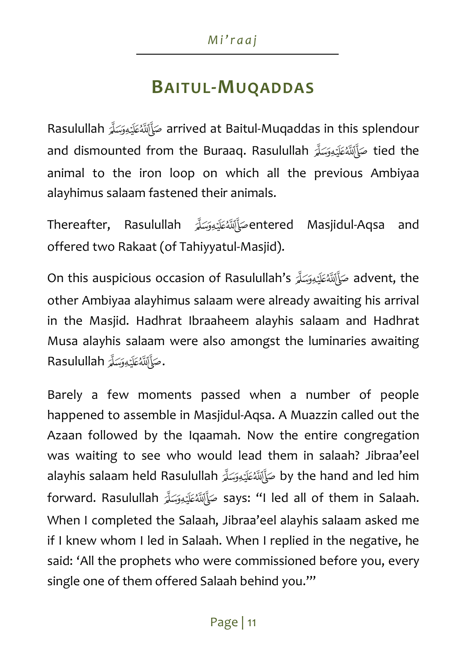# **BAITUL-MUQADDAS**

Rasulullah arrived at Baitul-Muqaddas in this splendour and dismounted from the Buraaq. Rasulullah tied the animal to the iron loop on which all the previous Ambiyaa alayhimus salaam fastened their animals.

Thereafter, Rasulullah entered Masjidul-Aqsa and offered two Rakaat (of Tahiyyatul-Masjid).

On this auspicious occasion of Rasulullah's صَأَلَلَهُ عَلَيْهِ وَسَلَّهَ 25 other Ambiyaa alayhimus salaam were already awaiting his arrival in the Masjid. Hadhrat Ibraaheem alayhis salaam and Hadhrat Musa alayhis salaam were also amongst the luminaries awaiting Rasulullah مَيَأَأَلِلَّهُ عَلَيْهِ وَسَلَّمَ

Barely a few moments passed when a number of people happened to assemble in Masjidul-Aqsa. A Muazzin called out the Azaan followed by the Iqaamah. Now the entire congregation was waiting to see who would lead them in salaah? Jibraa'eel alayhis salaam held Rasulullah by the hand and led him forward. Rasulullah says: "I led all of them in Salaah. When I completed the Salaah, Jibraa'eel alayhis salaam asked me if I knew whom I led in Salaah. When I replied in the negative, he said: 'All the prophets who were commissioned before you, every single one of them offered Salaah behind you.'"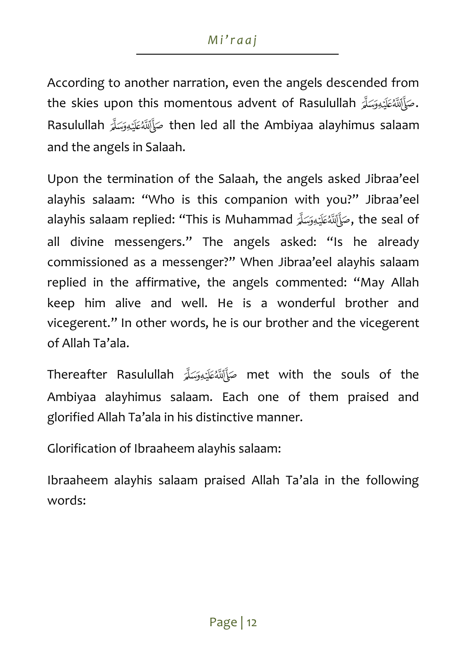According to another narration, even the angels descended from the skies upon this momentous advent of Rasulullah .مَأَأَلَّلْهُ عَلَيْهِ رَسَلَتُهُ Rasulullah then led all the Ambiyaa alayhimus salaam and the angels in Salaah.

Upon the termination of the Salaah, the angels asked Jibraa'eel alayhis salaam: "Who is this companion with you?" Jibraa'eel alayhis salaam replied: "This is Muhammad مَأَاللَّهُ عَلَيْهِ وَسَلَّرَ alayhis salaam replied: "This is Muhammad all divine messengers." The angels asked: "Is he already commissioned as a messenger?" When Jibraa'eel alayhis salaam replied in the affirmative, the angels commented: "May Allah keep him alive and well. He is a wonderful brother and vicegerent." In other words, he is our brother and the vicegerent of Allah Ta'ala.

Thereafter Rasulullah met with the souls of the Ambiyaa alayhimus salaam. Each one of them praised and glorified Allah Ta'ala in his distinctive manner.

Glorification of Ibraaheem alayhis salaam:

Ibraaheem alayhis salaam praised Allah Ta'ala in the following words: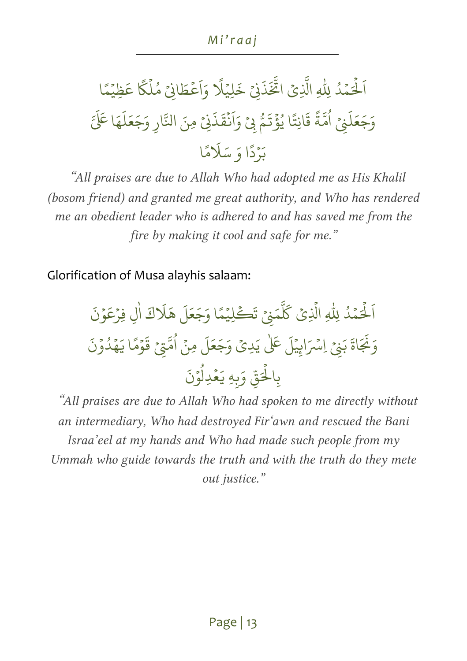و<br>د َ<br>لَحَمْدُ **ٔ** ر<br>ا َ الْحَمْدُ لِلَّهِ ر<br>آ لِلّٰهِ الَّذِىۡ اتَّخَذَنِىۡ ذ ِ<br>پير<br>مر ات ر<br>آ لِيْلا ْ بِي  $\ddot{\cdot}$ خَلِيْلًا وَاَعْطَانِيْ ْ َ َ و ا ً مُلَّكًا عَظِيْمًا ہ<br>1 و<br>م <u>ٰ</u> ً<br>م ع ِنْ َ ل َ ع َ ج َ و  $\frac{1}{2}$ اُمَّةً قَانِتًا يُؤْتَمُّ و<br>ا  $\ddot{\phantom{0}}$ يُؤْتَمُّ بِيْ وَاَنْقَذَنِي **م د** ُ ذ  $\frac{1}{2}$ ق ن <u>ْ</u> وَاَنْقَذَنِي مِنَ النَّارِ وَجَعَلَهَا ا َر<br>آ وَجَعَلَهَا عَلَيَّ ا ً بَرْدًا وَ سَلَامًا ؙ<br>; ر<br>آ سَلَا

"*All praises are due to Allah Who had adopted me as His Khalil (bosom friend) and granted me great authority, and Who has rendered me an obedient leader who is adhered to and has saved me from the fire by making it cool and safe for me."* 

Glorification of Musa alayhis salaam:

ُ د ْ م َ ْ ل َ ا ِ ِ ِيْ ْ ِنْ ال َ م َ ك ا ً م ْ لِي كْ َ ت َ ل َ ع َ ج َ و َ ك َ َ ِل ه ا َ ن ْ و َ ع ْ فِر َ َاة َ ن َ و ِنْ َ ب َ ل ْ ِي ْ َسائ اِ ٰ َ ي ْ ِد َ = ي َ ل َ ع َ ج َ و ِ منْ ِتْ م ُ ا ا ً م ْ و َ ق َ ن ْ و ُ د ْ ه َ ي ِ ّ ق َ ْ ِال ب هِ ِ ب َ و َ ن ْ و ُ ِدل ْ ع َ ي

"*All praises are due to Allah Who had spoken to me directly without an intermediary, Who had destroyed Fir'awn and rescued the Bani Israa'eel at my hands and Who had made such people from my Ummah who guide towards the truth and with the truth do they mete out justice."*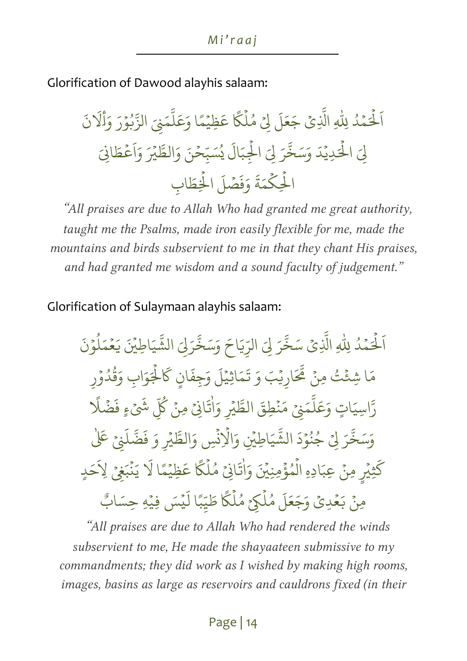Glorification of Dawood alayhis salaam:

و<br>د ِ<br>لَحَمْدُ **ٔ** ر<br>ا ر<br>آ الْحَمْدُ لِلَّهِ ر<br>آ لِلْهِ الَّذِيْ **ا** الَّذِيْ جَعَلَ لِيْ مُلَٰكً مُلَّكًا عَظِيْمًا وَعَلَّمَنِيَ ہ<br>1 ُ ؙ<br>
<sup>ٔ</sup> بر<br>آ ل ً<br>م وَعَلَّمَنِيَ الزَّبُوْرَ وَأَلَانَ <u>،</u> ُ **ا** وَأَلَا لِيَ الْحَدِيْدَ وَسَخَّرَ **ٔ** ر<br>أ **ا**  $\frac{1}{2}$ وَسَخَّرَ لِيَ الْجِبَالَ يُسَبِّحْنَ وَالطَّيْرَ وَاعْطَانِيَ ْ ْ و ي ْ َ َ و ا  $\frac{1}{2}$ الْحِكْمَةَ وَفَصْلَ <u>ہ</u> ْ **َ** وَفَصْلَ الْخِطَابِ ْ

"*All praises are due to Allah Who had granted me great authority,*  taught me the Psalms, made iron easily flexible for me, made the *mountains and birds subservient to me in that they chant His praises, and had granted me wisdom and a sound faculty of judgement."* 

Glorification of Sulaymaan alayhis salaam:

و<br>د ِ<br>لَحَمْدُ ٝ<br>م ر<br>أ ر<br>آ الْحَمْدُ لِلَّهِ ر<br>آ لِلْهِ الَّذِيْ ؚ<br>ا الذِيْ سَخَّرَ  $\frac{1}{2}$ سَخَّرَ لِيَ الرِّيَاحَ الرِّيَاحَ وَسَخَّرَلِيَّ  $\frac{1}{2}$ وَسَخَّرَلِيَ الشَّيَاطِيْنَ 5 **ا** الشَّيَاطِيْنَ يَعْمَلُوْنَ <u>،</u> و<br>ا ٝ<br>ٔ مَا شِئْتُ مِنْ تَحَارِيْبَ ْ ْ ْ فِي تَحَارِيْبَ وَ ر<br>آ ل َاثِي م **ٔ**  $\ddot{\phantom{0}}$ تَمَاثِيْلُ وَجِفَانٍ  $\ddot{\cdot}$ وَجِفَانٍ كَالْجَوَابِ ر<br>ا :<br>} كَالْجَوَابِ وَقُدُوْرِ <u>ٰ</u> و<br>ل ور رَّاسِيَاتٍ وَعَلَّمَنِيَ بہ<br>آ ل ً<br>م وَعَلَّمَنِي مَنْطِقَ الطَّيْرِ وَاٰتَانِي <u>ْ</u> وَاٰتَانِيۡ مِنۡ كُلِّ ֝֟<u>֝</u> ا و پہ<br>کیا ِ<br>كُلِّ شَىْءٍ فَضْلًا **ٔ** فَضًلًا ف ر<br>ر  $\frac{1}{2}$ وَسَخَّرَ لِيْ جُنُوْدَ جُنُوَدَ الشَّيَاطِيْنِ ر<br>م ُ ُ ្ធ الشَّيَاطِيْنِ وَالْإِنْسِ وَالطَّيْرِ وَ فَضَّلَنِيَّ <u>،</u> ِن ْ  $\mu$ ية ضً  $\ddot{\cdot}$ فَضَّلَنِيَّ عَلٰىٰ ٍ ثِي ْ َ كَثِيْرٍ مِنْ عِبَادِهِ الْمُؤْمِنِيْنَ وَأْتَانِيْ **ّ** ْ و ْ ت َ و .<br>; ا <u>ً</u> مُلَّكًا عَظِيْمًا <u>ہ</u><br>1 ُ <u>ٰ</u> ر<br>م عَظِيْمًا .<br>آ لَا يَنْبَغِيَّ لِأَحَدٍ <u>ْ</u>  $\tilde{\phantom{0}}$ Vِ مِنۡ بَعۡدِیۡ ំ<br>៖ ر<br>آ وَجَعَلَ مُلْكِيْ <u>ہ</u><br>1 ُ <u>ً</u> مُلْكًا طَيِّبًا لَيْسَ <u>ہ</u><br>1 ُ  $\frac{1}{1}$ لَيۡسَ فِيۡهِ حِسَابٌ ْ بِهِ مَسْ

"*All praises are due to Allah Who had rendered the winds subservient to me, He made the shayaateen submissive to my commandments; they did work as I wished by making high rooms, images, basins as large as reservoirs and cauldrons fixed (in their*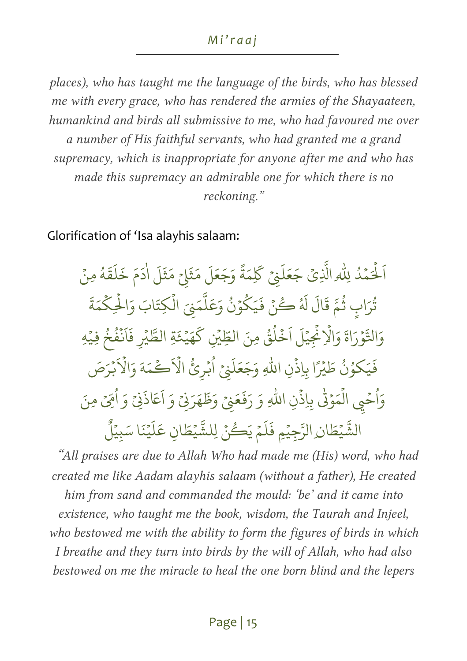*places), who has taught me the language of the birds, who has blessed me with every grace, who has rendered the armies of the Shayaateen, humankind and birds all submissive to me, who had favoured me over a number of His faithful servants, who had granted me a grand supremacy, which is inappropriate for anyone after me and who has made this supremacy an admirable one for which there is no reckoning."* 

Glorification of 'Isa alayhis salaam:

و<br>ا َ<br>لَحَمْدُ ْ م ر<br>ا اَلْحَمْدُ لِلّٰهِ الَّذِ ا الَّذِيْ جَعَلَنِيْ ل َ ع َ ج  $\frac{1}{2}$ ة َ ِم َ كلِمَة ر<br>آ وَجَعَلَ مَثَلِ<sub>ِ</sub>ح ث َ م ر<br>آ ل ្ត្ مَثَلَ اٰدَمَ  $\tilde{\phantom{a}}$ ادَمَ خَلَقَهُ و<br>لم  $\frac{1}{2}$ ق ر<br>آ  $\mu$  $\ddot{\cdot}$ خَلَقَهُ مِنْ اب ٍ ثَرَابِ ثُمَّ و<br>د و َ َال ق و  $\tilde{1}$ لَهُ كُنْ فَيَكُوْنُ ُ <u>ٰ</u> ُ  $\ddot{\cdot}$ فَيَكُوۡنُ وَعَلَّمَنِيَ بہ<br>آ ل ر<br>م وَعَلَّمَنِيَ الْكِتَابَ وَالْحِكْمَةَ ہ<br>1 **ا** <u>ہ</u> ْ وَالتَّوْرَاةَ <u>ٰ</u> ر<br>آ وَالْإِنْجِيْلَ اَخْلُقُ <u>ٰ</u> <u>ّ</u> ْ و<br>په ُ <u>:</u> <sub>.</sub><br>اَخۡلُقُ مِنَ الطِّيۡنِ كَهَيۡئَةِ ا َْ بِي ر<br>ح كَهَيْئَةِ الطَّيْرِ فَاَنَّفُخُ ُو<br>م <u>ْ</u> َ ا  $\ddot{\cdot}$ فَانَفَخَ فِيۡهِ **ٔ** ُ ن َكو ي ُ  $\ddot{\cdot}$ فَيَكوُنُ طَيْرًا بِاِذْنِ اللّٰهِ وَجَعَلَنِيۡ **ٔ** وَجَعَلَنِي اُبْرِئُ الْأَكْمَةَ وَالْأَبْرَصَ و **ٔ** و<br>ا ا **ٔ** وَالَا وَأُحْيِي الْمَوْتَىٰ بِإذْنِ اللَّهِ ۫<br>ؙ ُ ا ٰ <u>،</u> ہ<br>1 <u>ْ</u> ر<br>آ ؚ<br>ا اللهِ وَ رَفَعَنِيۡ  $\ddot{\cdot}$ رَفَعَنِي وَظَهَرَنِي  $\ddot{\cdot}$ وَظَهَرَنِي وَ أَعَاذَنِي ذ َ ع َ اَعَاذَنِيۡ وَ اُمِّیۡ مِنَ **ّ** ُ ا ै<br>। يُطَان **ٔ** 52 ا<br>المسلمات<br>المسلمات الشَّيْطَانِ الرَّجِيْمِ فَلَمْ ֦֧֧֟֟֓<u>֓</u> ر<br>آ ل  $\ddot{\cdot}$ فَلَمْ يَكُنَّ لِلشَّيْطَانِ ْ بِهِ مَسْ ្ច لِلشَّيۡطَانِ عَلَيۡنَا **ٔ** ر<br>آ ل ً<br>م ع و<br>ا ل ِي ب َ س ؙ<br> **<sup>ب</sup>ر** 

"*All praises are due to Allah Who had made me (His) word, who had created me like Aadam alayhis salaam (without a father), He created him from sand and commanded the mould: 'be' and it came into existence, who taught me the book, wisdom, the Taurah and Injeel, who bestowed me with the ability to form the figures of birds in which I breathe and they turn into birds by the will of Allah, who had also bestowed on me the miracle to heal the one born blind and the lepers*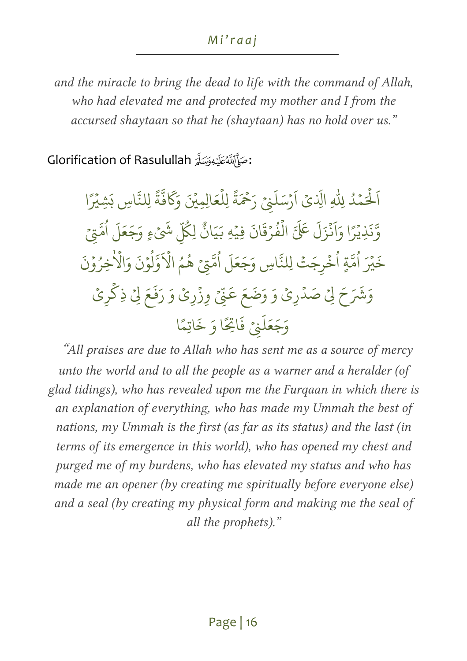*and the miracle to bring the dead to life with the command of Allah, who had elevated me and protected my mother and I from the accursed shaytaan so that he (shaytaan) has no hold over us."* 

Glorification of Rasulullah :

و<br>ل َ<br>لَحَمْدُ **ٔ** ر<br>ا َ الْحَمْدُ لِلَّهِ ر<br>آ لِلُّهِ الَّذِيْ الِّذِيْ اَ<sub>رُّسَل</sub>ِّنِ ل َ س ر ْ ْ بِي .<br>أ<sup>د س</sup>راً و س<sup>ع</sup>مةً ا رَحْمَةً لِلْعَالِمِيْنَ ہ<br>1  $\frac{1}{2}$ ة  $\frac{1}{2}$ ف ر<br>م وَكَافَّةً لِلنَّاسِ بَشِيْرًا ب ا ً ر ِذي **ٔ**  $\ddot{\cdot}$ ءَ<br>وُذ .<br>آ ِ<br>نزل **ٔ** وَاَذَرَلَ عَلَىَّ الْفُرْقَانَ فِيْهِ ا ْ ْ فِي و<br>م ہ<br>1 ْبَيَانٌ لِكُلِّ لِكُلِّ شَيْءٍ وَجَعَلَ وَجَعَلَ اُمَّتِيْ و<br>ا ا ي َْ َ خَيْرَ اُمَّةٍ اُخْرِجَتْ لِلنَّاسِ ُ <u>:</u> و<br>ا ر<br>آ وَجَعَلَ اُمَّتِيْ هُمُ و<br>ا ا و و  $\ddot{\cdot}$ وَّلُوۡنَ ٝ<br>ْ ُ ل  $\hat{\mathbf{z}}$ **ا** الاؤلؤنَ وَالاخِرُوْنَ <u>ٰ</u> ُ وَالًا. وَشَرَحَ لِيْ صَدْرِيْ وَ وَضَعَ عَنِّيْ <u>ہ</u> **ٔ** عَنِّيْ وِزْرِيْ وَ رَفَعَ **في**ة  $\ddot{\cdot}$ رَفَعَ لِيْ ذِكْرِيْ ْ ِ<br>لَـٰنِیۡ وَجَعَلَنِي فَاتِحًا  $\ddot{\cdot}$ فَاتِحًا وَ خَاتِمًا

"*All praises are due to Allah who has sent me as a source of mercy unto the world and to all the people as a warner and a heralder (of glad tidings), who has revealed upon me the Furqaan in which there is an explanation of everything, who has made my Ummah the best of nations, my Ummah is the first (as far as its status) and the last (in terms of its emergence in this world), who has opened my chest and purged me of my burdens, who has elevated my status and who has made me an opener (by creating me spiritually before everyone else) and a seal (by creating my physical form and making me the seal of all the prophets)."*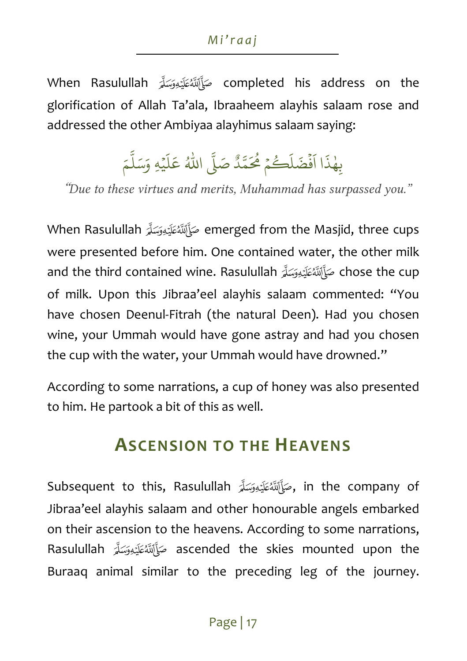When Rasulullah completed his address on the glorification of Allah Ta'ala, Ibraaheem alayhis salaam rose and addressed the other Ambiyaa alayhimus salaam saying:

> ا  $\ddot{\cdot}$ بِهٰذَا أَفْضَلَكُمْ ٝ<br>ٔ ل ضَ ف <u>ّ</u> اَفۡضَلَكُمۡ مُحَمَّدٌ ا ر<br>ح م بہ<br>آ صَلَّى اللَّهُ عَلَيْهِ ا بالمسلمان المسلمان المسلمان المسلمان المسلمان المسلمان المسلمان المسلمان المسلمان المسلمان المسلمان المسلمان<br>المسلمان المسلمان المسلمان المسلمان المسلمان المسلمان المسلمان المسلمان المسلمان المسلمان المسلمان المسلمان ال ر<br>آ ل ً<br>م عَلَيۡهِ وَسَلَّمَ یہ<br>ا وَسَلَّ

"*Due to these virtues and merits, Muhammad has surpassed you."* 

When Rasulullah emerged from the Masjid, three cups were presented before him. One contained water, the other milk and the third contained wine. Rasulullah حَبَأَلِلَّهُ عَلَيْهِ وَسَلَّهَ of milk. Upon this Jibraa'eel alayhis salaam commented: "You have chosen Deenul-Fitrah (the natural Deen). Had you chosen wine, your Ummah would have gone astray and had you chosen the cup with the water, your Ummah would have drowned."

According to some narrations, a cup of honey was also presented to him. He partook a bit of this as well.

# **ASCENSION TO THE HEAVENS**

Subsequent to this, Rasulullah صَأَلَلَهُ عَلَيْهِ وَسَلَّةٍ in the company of Jibraa'eel alayhis salaam and other honourable angels embarked on their ascension to the heavens. According to some narrations, Rasulullah ascended the skies mounted upon the Buraaq animal similar to the preceding leg of the journey.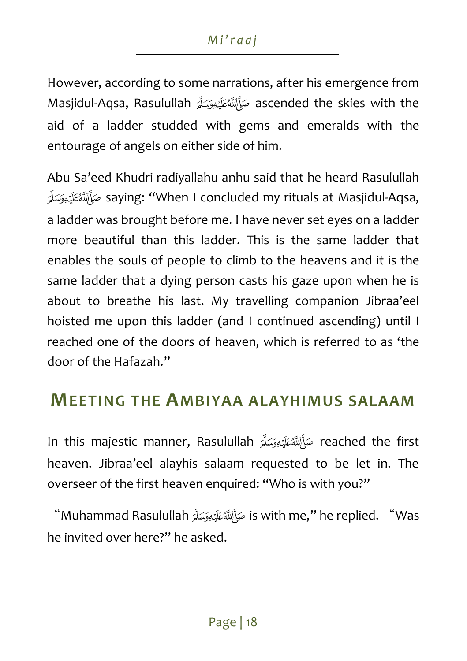However, according to some narrations, after his emergence from Masjidul-Aqsa, Rasulullah ascended the skies with the aid of a ladder studded with gems and emeralds with the entourage of angels on either side of him.

Abu Sa'eed Khudri radiyallahu anhu said that he hea rd Rasulullah saying: "When I concluded my rituals at Masjidul-Aqsa, a ladder was brought before me. I have never set eyes on a ladder more beautiful than this ladder. This is the same ladder that enables the souls of people to climb to the heavens and it is the same ladder that a dying person casts his gaze upon when he is about to breathe his last. My travelling companion Jibraa'eel hoisted me upon this ladder (and I continued ascending) until I reached one of the doors of heaven, which is referred to as 'the door of the Hafazah."

#### **MEETING THE AMBIYAA ALAYHIMUS SALAAM**

In this majestic manner, Rasulullah صَأَلَلَهُ عَلَيْهِ reached the first heaven. Jibraa'eel alayhis salaam requested to be let in. The overseer of the first heaven enquired: "Who is with you?"

"Muhammad Rasulullah is with me," he replied. "Was he invited over here?" he asked.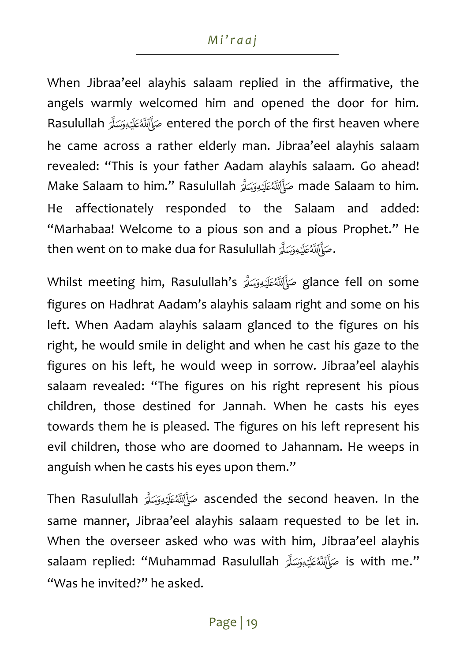When Jibraa'eel alayhis salaam replied in the affirmative, the angels warmly welcomed him and opened the door for him. Rasulullah entered the porch of the first heaven where he came across a rather elderly man. Jibraa'eel alayhis salaam revealed: "This is your father Aadam alayhis salaam. Go ahead! Make Salaam to him." Rasulullah made Salaam to him. He affectionately responded to the Salaam and added: "Marhabaa! Welcome to a pious son and a pious Prophet." He then went on to make dua for Rasulullah .

Whilst meeting him, Rasulullah's glance fell on some figures on Hadhrat Aadam's alayhis salaam right and some on his left. When Aadam alayhis salaam glanced to the figures on his right, he would smile in delight and when he cast his gaze to the figures on his left, he would weep in sorrow. Jibraa'eel alayhis salaam revealed: "The figures on his right represent his pious children, those destined for Jannah. When he casts his eyes towards them he is pleased. The figures on his left represent his evil children, those who are doomed to Jahannam. He weeps in anguish when he casts his eyes upon them."

Then Rasulullah مَكَأَلِلَهُ ascended the second heaven. In the same manner, Jibraa'eel alayhis salaam requested to be let in. When the overseer asked who was with him, Jibraa'eel alayhis salaam replied: "Muhammad Rasulullah is with me." "Was he invited?" he asked.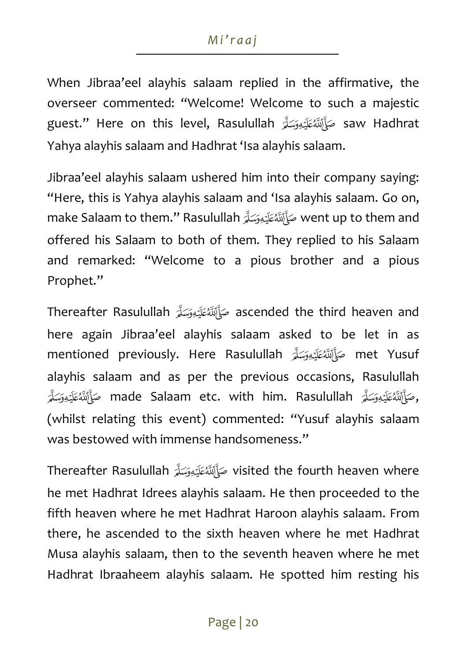When Jibraa'eel alayhis salaam replied in the affirmative, the overseer commented: "Welcome! Welcome to such a majestic guest." Here on this level, Rasulullah حَإَلَيْهُ عَدْوَسَةً guest." Here on this level, Rasulullah Yahya alayhis salaam and Hadhrat 'Isa alayhis salaam.

Jibraa'eel alayhis salaam ushered him into their company saying: "Here, this is Yahya alayhis salaam and 'Isa alayhis salaam. Go on, make Salaam to them." Rasulullah went up to them and offered his Salaam to both of them. They replied to his Salaam and remarked: "Welcome to a pious brother and a pious Prophet."

Thereafter Rasulullah حَإَلَهٌ مَكَيْدِوَسَلَّةِ Thereafter Rasulullah مَ here again Jibraa'eel alayhis salaam asked to be let in as mentioned previously. Here Rasulullah met Yusuf alayhis salaam and as per the previous occasions, R asulullah مَوَّأَلِّلَهُ عَلَيْهِ made Salaam etc. with him. Rasulullah صَأَلَالَهُ عَلَيْهِ وَسَلَّمَ (whilst relating this event) commented: "Yusuf alayhis salaam was bestowed with immense handsomeness."

Thereafter Rasulullah visited the fourth heaven where he met Hadhrat Idrees alayhis salaam. He then proceeded to the fifth heaven where he met Hadhrat Haroon alayhis salaam. From there, he ascended to the sixth heaven where he met Hadhrat Musa alayhis salaam, then to the seventh heaven where he met Hadhrat Ibraaheem alayhis salaam. He spotted him resting his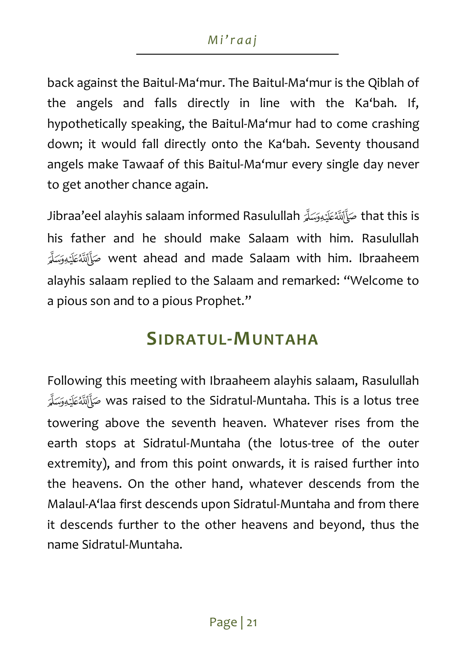back against the Baitul-Ma'mur. The Baitul-Ma'mur is the Qiblah of the angels and falls directly in line with the Ka'bah. If, hypothetically speaking, the Baitul-Ma'mur had to come crashing down; it would fall directly onto the Ka'bah. Seventy thousand angels make Tawaaf of this Baitul-Ma'mur every single day never to get another chance again.

Jibraa'eel alayhis salaam informed Rasulullah صَأَلَسْكَيْدِوَسَلَّهُ that this is his father and he should make Salaam with him. Rasu lullah went ahead and made Salaam with him. Ibraaheem alayhis salaam replied to the Salaam and remarked: "Welcome to a pious son and to a pious Prophet."

# **SIDRATUL-MUNTAHA**

Following this meeting with Ibraaheem alayhis salaa m, Rasulullah was raised to the Sidratul-Muntaha. This is a lotus tree towering above the seventh heaven. Whatever rises from the earth stops at Sidratul-Muntaha (the lotus-tree of the outer extremity), and from this point onwards, it is raised further into the heavens. On the other hand, whatever descends from the Malaul-A'laa first descends upon Sidratul-Muntaha and from there it descends further to the other heavens and beyond, thus the name Sidratul-Muntaha.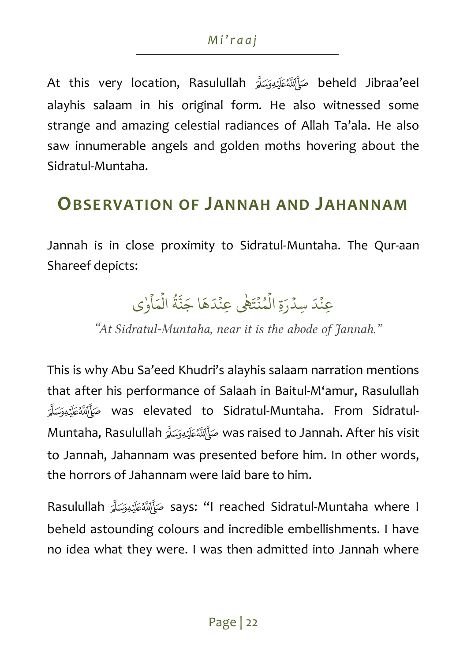At this very location, Rasulullah beheld Jibraa'eel alayhis salaam in his original form. He also witnessed some strange and amazing celestial radiances of Allah Ta'ala. He also saw innumerable angels and golden moths hovering about the Sidratul-Muntaha.

# **OBSERVATION OF JANNAH AND JAHANNAM**

Jannah is in close proximity to Sidratul-Muntaha. The Qur-aan Shareef depicts:

> عِنْدَ سِدْرَةِ الْمُنْتَهِٰي عِنْدَهَا جَنَّةُ الْمَأْوٰي  $\ddot{\cdot}$ ْ **في**ة ُ ہ<br>1 َ<u>ْ</u> و<br>ڏ ٰ ْ ہ<br>1

"*At Sidratul-Muntaha, near it is the abode of Jannah."* 

This is why Abu Sa'eed Khudri's alayhis salaam narration mentions that after his performance of Salaah in Baitul-M'am ur, Rasulullah was elevated to Sidratul-Muntaha. From Sidratul-Muntaha, Rasulullah was raised to Jannah. After his visit to Jannah, Jahannam was presented before him. In other words, the horrors of Jahannam were laid bare to him.

Rasulullah says: "I reached Sidratul-Muntaha where I beheld astounding colours and incredible embellishments. I have no idea what they were. I was then admitted into Jannah where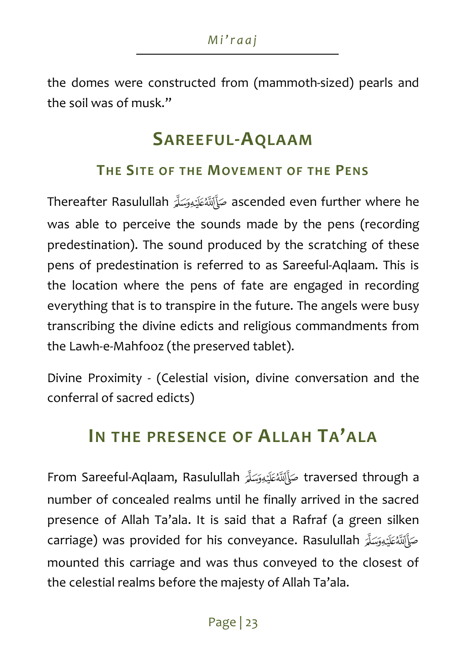the domes were constructed from (mammoth-sized) pearls and the soil was of musk."

# **SAREEFUL-AQLAAM**

#### **THE SITE OF THE MOVEMENT OF THE PENS**

Thereafter Rasulullah ascended even further where he was able to perceive the sounds made by the pens (recording predestination). The sound produced by the scratching of these pens of predestination is referred to as Sareeful-Aqlaam. This is the location where the pens of fate are engaged in recording everything that is to transpire in the future. The angels were busy transcribing the divine edicts and religious commandments from the Lawh-e-Mahfooz (the preserved tablet).

Divine Proximity - (Celestial vision, divine conversation and the conferral of sacred edicts)

# **IN THE PRESENCE OF ALLAH TA'ALA**

From Sareeful-Aqlaam, Rasulullah traversed through a number of concealed realms until he finally arrived in the sacred presence of Allah Ta'ala. It is said that a Rafraf (a green silken carriage) was provided for his conveyance. Rasulull ah mounted this carriage and was thus conveyed to the closest of the celestial realms before the majesty of Allah Ta'ala.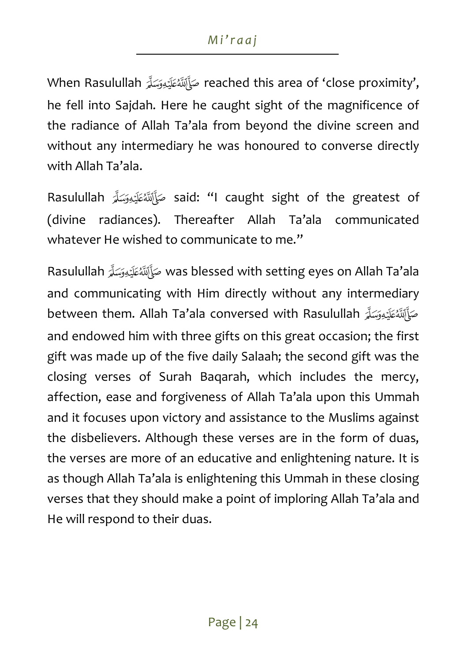When Rasulullah reached this area of 'close proximity', he fell into Sajdah. Here he caught sight of the magnificence of the radiance of Allah Ta'ala from beyond the divine screen and without any intermediary he was honoured to converse directly with Allah Ta'ala.

Rasulullah said: "I caught sight of the greatest of (divine radiances). Thereafter Allah Ta'ala communicated whatever He wished to communicate to me."

Rasulullah was blessed with setting eyes on Allah Ta'ala and communicating with Him directly without any intermediary between them. Allah Ta'ala conversed with Rasululla h and endowed him with three gifts on this great occasion; the first gift was made up of the five daily Salaah; the second gift was the closing verses of Surah Baqarah, which includes the mercy, affection, ease and forgiveness of Allah Ta'ala upon this Ummah and it focuses upon victory and assistance to the Muslims against the disbelievers. Although these verses are in the form of duas, the verses are more of an educative and enlightening nature. It is as though Allah Ta'ala is enlightening this Ummah in these closing verses that they should make a point of imploring Allah Ta'ala and He will respond to their duas.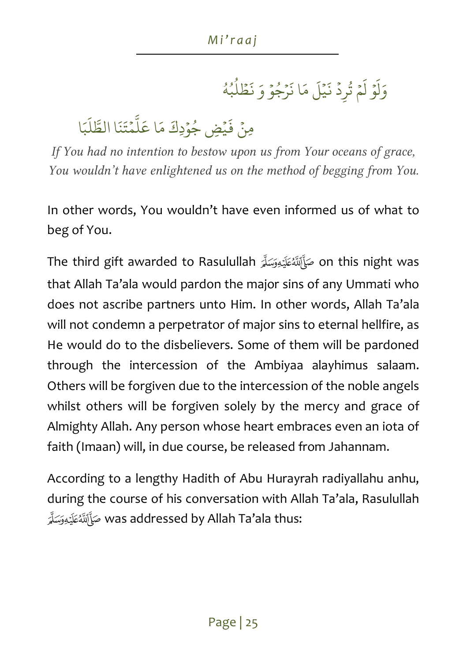ہ<br>ہ و وَلَوْ لَمْ ا  $\frac{1}{2}$ .<br>آ لَمْ تُرِدِّ ៎ و<br>د ر<br>آ يمل  $\frac{1}{2}$  $\ddot{\cdot}$ نَيۡلَ مَا نَرۡجُوۡ ٝ<br>ْ و  $\ddot{\phantom{0}}$  $\ddot{\cdot}$ نَرْجُوْ وَ نَطْلُبُهُ وگھ ُ ُ ؚ<br>؞  $\ddot{\cdot}$ نَطْلَبُهُ

#### مِنۡ فَیۡضِ ْ بِهِ مَسْ  $\ddot{\cdot}$ ف جُوُدِكَ مَا عَلَّمۡتَنَا ٝ<br>ْ و  $\frac{1}{2}$ بہ<br>آ  $\mu$ ر<br>م عَلَّمۡتَنَا الطَّلَبَا ر<br>آ ل الط

*If You had no intention to bestow upon us from Your oceans of grace, You wouldn't have enlightened us on the method of begging from You.* 

In other words, You wouldn't have even informed us of what to beg of You.

The third gift awarded to Rasulullah صَأَلَلَهُ عَلَيْهِ وَسَلَّةٍ on this night was that Allah Ta'ala would pardon the major sins of any Ummati who does not ascribe partners unto Him. In other words, Allah Ta'ala will not condemn a perpetrator of major sins to eternal hellfire, as He would do to the disbelievers. Some of them will be pardoned through the intercession of the Ambiyaa alayhimus salaam. Others will be forgiven due to the intercession of the noble angels whilst others will be forgiven solely by the mercy and grace of Almighty Allah. Any person whose heart embraces even an iota of faith (Imaan) will, in due course, be released from Jahannam.

According to a lengthy Hadith of Abu Hurayrah radiyallahu anhu, during the course of his conversation with Allah Ta 'ala, Rasulullah was addressed by Allah Ta'ala thus: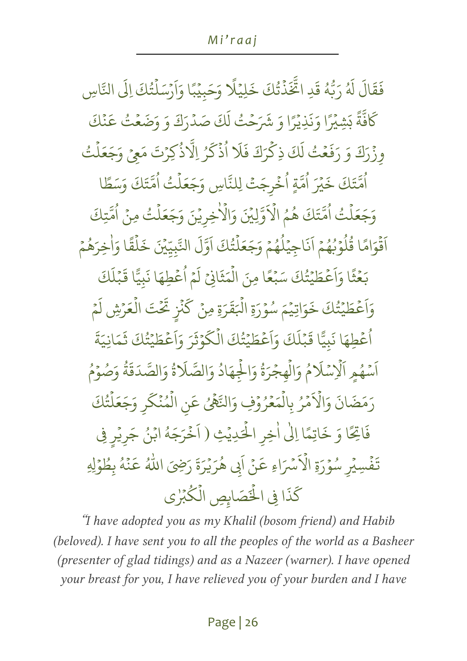ا<br>آ

ہ<br>1

 $\tilde{1}$ 

 $\tilde{t}$ 

َ َال ق  $\ddot{\cdot}$ فَقَال و لَهُ رَبُّهُ قَدِ و  $\ddot{\phantom{0}}$ قَدِ ائَّخَذْتُكَ و<br>د <u>ْ</u> ِ<br>پير<br>مر ات لِيْلا **ٔ**  $\ddot{\cdot}$ خَلِيْلًا وَحَبِيْبًا وَاَرْسَلْتُكَ **ٔ** و<br>په ْ َ َ و ا اِلَى النَّاسِ  $\frac{1}{2}$ ة  $\frac{1}{2}$ ف :<br>} كَافَّةً بَشِيْرًا وَنَذِيْرًا **ٔ**  $\ddot{\cdot}$ وَنَذِيْرًا وَ شَرَحْتُ لَكَ ْ پ لكَ ر<br>5 صَدْرَكَ وَ وَضَعْتُ عَنْكَ ْ ْ <u>ْ</u> ر<br>م ع ِ<br>د وِزْرَكَ وَ رَفَعُتُ <u>ْ</u> ْ  $\frac{1}{2}$ رَفَعَتُ لَكَ ل ِ<br>د ذِكْرَكَ فَلَا <u>ہ</u> ؚ<br>ا  $\frac{1}{2}$ فلا اذكرُ ُ ا<br>ح .<br>ذَكَرُ اِلَّاذُكِرْتَ <u>ْ</u> ُ ا ؙ<br>; بة<br>1 اِلَّاذُكِرْتَ مَعِيْ وَجَعَلْتُ ہ<br>1 مَّتَكَ خَيْرَ ُ ا خَيْرَ اُمَّةٍ اُخْرِجَتْ لِلنَّاسِ وَجَعَلْتُ اُمَّتَكَ وَسَطَّا و<br>ا <u>:</u> ُ ہ<br>1 ُ وَجَعَلْتُ اُمَّتَكَ هُمُ الْأَوَّلِيْنَ ہ<br>1 و<br>ا ا و و الْاَوَّلِيْنَ وَالْاٰخِرِيْنَ ْ م وَالْأُخِرِيْنَ وَجَعَلْتُ مِنْ اُمَّتِكَ ہ<br>1 و<br>ا ا ا ً َام و ق <u>۠</u> ر<br>آ ا ْ قُلْوُبُهُمْ انَاجِيَٰلُهُمْ و ُ <u>ٰ</u> و<br>ا و<br>د ٝ<br>ٔ و<br>م و<br>ا ْ بِهِ مَسْ  $\ddot{\cdot}$ ن اَنَاجِيَٰلُهُمۡ وَجَعَلۡتُكَ ا و<br>په ہ<br>1 ر<br>1 ِ<br>وَلَ اَوَّلَ النَّبِيِّيْنَ خَلُقًا ا ًہ<br>1  $\ddot{\cdot}$ خَلُقًا وَاخِرَهُمْ ٝ<br>ٔ و ا ا ً بَعْثًا وَاَعْظَيْتُكَ ំ<br>៖ و<br>په ْ بِي ْ وَاَعْطَيْتُكَ سَبْعًا مِنَ الْمَثَانِيُ ا ؙ<br>
<sup>ٔ</sup> الُمَثَانِيَ لَمْ ہ<br>1 ֦֧֧֟֟֓<u>֓</u>  $\frac{1}{1}$ لَمۡ اُعۡطِهَا نَبِيًّا ْ ُ  $\ddot{\cdot}$ ن كَ َ بمل ؙ<br>
<sup>ٔ</sup>  $\frac{1}{2}$ ق ِ<br>عَطَيْتُكَ و<br>په په ؙ<br> **֡** ْ وَأَعْظَيْتُكَ خَوَاتِيْمَ ا <u>ٰ</u> خَوَاتِيْمَ سُوْرَةِ الْبَقَرَةِ ْ و  $\frac{1}{2}$ الْبَقَرَةِ مِنْ كَنْزٍ ہ<br>1 <u>ْ</u> ٍ<br>م ِ<br>كَنْزِ تَحْتَ ْ تَّحَْتَ الْعَرْشِ لَمْ ْ ہ<br>1 ֦֧֧֟֟֓<u>֓</u>  $\frac{1}{1}$  ل اُعۡطِهَا نَبِيًّا ر<br>م و<br>ا  $\ddot{\cdot}$ .<br>نَبِيًّا قَبۡلَكَ ل ب ْ بِهِ مَسْ  $\frac{1}{2}$ قَبۡلَكَ وَاَعۡطَیۡتُكَ و<br>په ؙ<br>
<sup>ٔ</sup> ْ وَاَعْطَيْتُكَ الْكَوْثَرَ ا  $\tilde{\mathbf{r}}$ ث و <u>،</u> ِ<br>ج الْكَوْثَرَ وَاَعْطَيْتُكَ .<br>1 و<br>په <u>ْ</u> ْ ۔<br>وا ا  $\frac{1}{2}$ ة َ َانِي م  $\tilde{\mathbf{r}}$ ث سُهُمٍ ُ <u>ّ</u> َ ا و<br>ھ م ر<br>آ لإشلا <u>ّ</u> ر<br>1 ر<br>آ ا ور وَالْهِجْرَةُ وَالْجِهَادُ وَالصَّلَاةُ <u>ْ</u> .<br>أ ُ ْ ور ر<br>آ وَالصَّلَاةُ وَالصَّدَقَةُ و<br>د :  $\ddot{\phantom{0}}$ وَالصَّدَقَةُ وَصُوۡمُ و<br>ھ ْ رَمَضَانَ وَالْأَمْرُ ُ <u>ٰ</u> وَالْاَمْرُ بِالْمَعْرُوْفِ وَالنَّهْيُ عَنِ ٝ<br>ْ ُ ំ<br>៖ .<br>1 ُ ِ<br>م عَنِ المُنْكَرِ َ الْمُنْكَرِ وَجَعَلْتُكَ <u>ْ</u> و<br>م ْ و<br>په ہ<br>1 اتِجًا  $\ddot{\cdot}$ فَاتِحًا وَ خَاتِمًا إلَىٰ اٰخِرِ الْحَدِيْثِ ( اَخْرَجَهُ ٰ ٝ<br>` ر<br>ا ِّ <u>:</u> اَخْرَجَهُ ابْنُ جَرِيْرٍ فِي ا **ٔ** ْ م ِ<br>فُسِيْرِ <u>ْ</u>  $\ddot{\phantom{0}}$ تَفۡسِيۡرِ سُوۡرَةِ الۡاَسۡرَاءِ عَنۡ <u>ٰ</u> و عَنۡ ابِی َ ابی  $\frac{1}{2}$ هُرَيْرَةَ رَضِيَ اللَّهُ عَنْهُ ْ م و ُ<u>ْ</u> ً<br>م عَنْهُ بِطُوْلِهِ <u>ہ</u> و<br>د ا  $\ddot{\cdot}$ كَذَا فِي الْخَصَابِصِ الْكُبْرٰي ہ<br>\<br>\ و<br>م .<br>1

"*I have adopted you as my Khalil (bosom friend) and Habib (beloved). I have sent you to all the peoples of the world as a Basheer (presenter of glad tidings) and as a Nazeer (warner). I have opened your breast for you, I have relieved you of your burden and I have*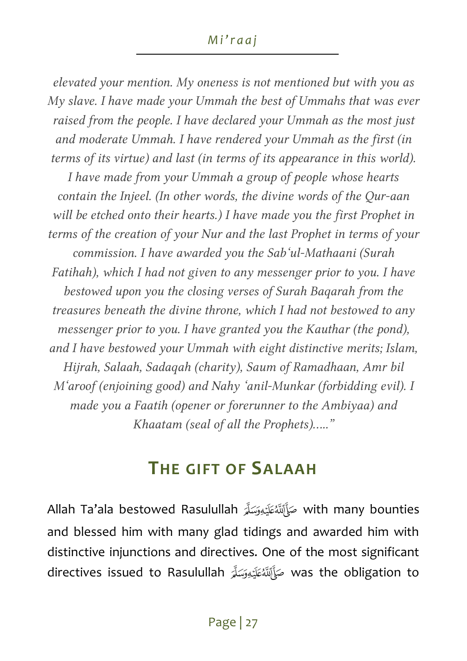*elevated your mention. My oneness is not mentioned but with you as My slave. I have made your Ummah the best of Ummahs that was ever raised from the people. I have declared your Ummah as the most just and moderate Ummah. I have rendered your Ummah as the first (in terms of its virtue) and last (in terms of its appearance in this world). I have made from your Ummah a group of people whose hearts contain the Injeel. (In other words, the divine words of the Qur-aan will be etched onto their hearts.) I have made you the first Prophet in terms of the creation of your Nur and the last Prophet in terms of your commission. I have awarded you the Sab'ul-Mathaani (Surah Fatihah), which I had not given to any messenger prior to you. I have bestowed upon you the closing verses of Surah Baqarah from the treasures beneath the divine throne, which I had not bestowed to any messenger prior to you. I have granted you the Kauthar (the pond), and I have bestowed your Ummah with eight distinctive merits; Islam, Hijrah, Salaah, Sadaqah (charity), Saum of Ramadhaan, Amr bil M'aroof (enjoining good) and Nahy 'anil-Munkar (forbidding evil). I made you a Faatih (opener or forerunner to the Ambiyaa) and Khaatam (seal of all the Prophets)….."* 

# **THE GIFT OF SALAAH**

Allah Ta'ala bestowed Rasulullah with many bounties and blessed him with many glad tidings and awarded him with distinctive injunctions and directives. One of the most significant directives issued to Rasulullah was the obligation to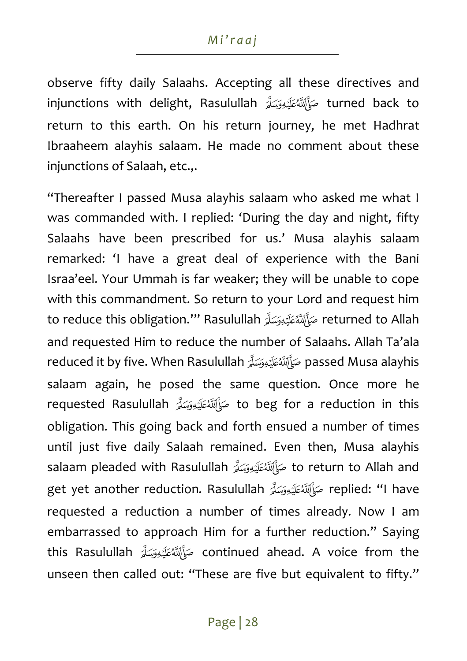observe fifty daily Salaahs. Accepting all these directives and injunctions with delight, Rasulullah صَأَلَلْتَهُ عَلَيْهِ وَسَلَّهُ turned back to return to this earth. On his return journey, he met Hadhrat Ibraaheem alayhis salaam. He made no comment about these injunctions of Salaah, etc.,.

"Thereafter I passed Musa alayhis salaam who asked me what I was commanded with. I replied: 'During the day and night, fifty Salaahs have been prescribed for us.' Musa alayhis salaam remarked: 'I have a great deal of experience with the Bani Israa'eel. Your Ummah is far weaker; they will be unable to cope with this commandment. So return to your Lord and request him to reduce this obligation.'" Rasulullah صَأَلَتْكَ وَسَلَّهَ teturned to Allah and requested Him to reduce the number of Salaahs. Allah Ta'ala reduced it by five. When Rasulullah passed Musa alayhis salaam again, he posed the same question. Once more he requested Rasulullah صَأَلِّللَّهُ عَلَيْهِ وَسَلَّرَ requested Rasulullah مَنْ اللَّهُ عَلَيْهِ وَسَلَّرَ obligation. This going back and forth ensued a number of times until just five daily Salaah remained. Even then, Musa alayhis salaam pleaded with Rasulullah to return to Allah and get yet another reduction. Rasulullah replied: "I have requested a reduction a number of times already. Now I am embarrassed to approach Him for a further reduction." Saying this Rasulullah continued ahead. A voice from the unseen then called out: "These are five but equivalent to fifty."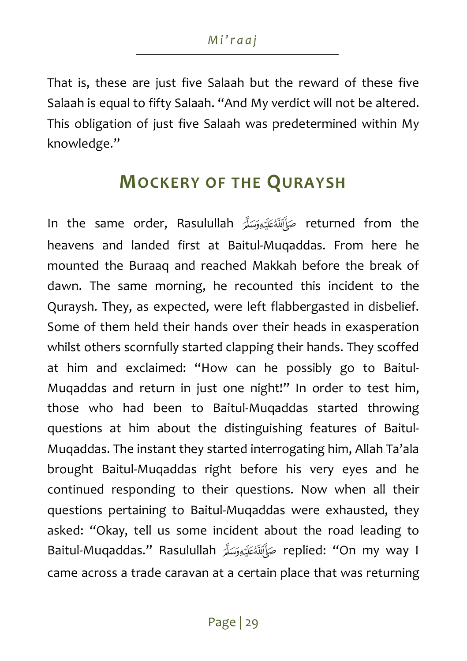That is, these are just five Salaah but the reward of these five Salaah is equal to fifty Salaah. "And My verdict will not be altered. This obligation of just five Salaah was predetermined within My knowledge."

# **MOCKERY OF THE QURAYSH**

In the same order, Rasulullah صَأَلَلْمُعَلَيْهِوَسَلَّهَ In the same order, Rasulullah صَأَلَلْمُعَلَيْهِوَسَ heavens and landed first at Baitul-Muqaddas. From here he mounted the Buraaq and reached Makkah before the break of dawn. The same morning, he recounted this incident to the Quraysh. They, as expected, were left flabbergasted in disbelief. Some of them held their hands over their heads in exasperation whilst others scornfully started clapping their hands. They scoffed at him and exclaimed: "How can he possibly go to Baitul-Muqaddas and return in just one night!" In order to test him, those who had been to Baitul-Muqaddas started throwing questions at him about the distinguishing features of Baitul-Muqaddas. The instant they started interrogating him, Allah Ta'ala brought Baitul-Muqaddas right before his very eyes and he continued responding to their questions. Now when all their questions pertaining to Baitul-Muqaddas were exhausted, they asked: "Okay, tell us some incident about the road leading to Baitul-Muqaddas." Rasulullah replied: "On my way I came across a trade caravan at a certain place that was returning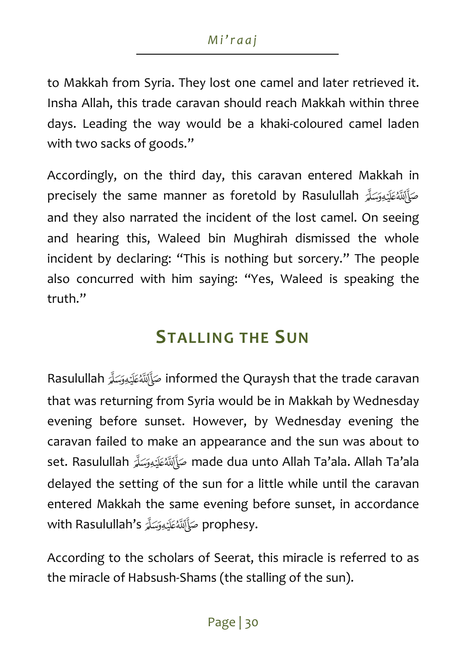to Makkah from Syria. They lost one camel and later retrieved it. Insha Allah, this trade caravan should reach Makkah within three days. Leading the way would be a khaki-coloured camel laden with two sacks of goods."

Accordingly, on the third day, this caravan entered Makkah in precisely the same manner as foretold by Rasulullah and they also narrated the incident of the lost camel. On seeing and hearing this, Waleed bin Mughirah dismissed the whole incident by declaring: "This is nothing but sorcery." The people also concurred with him saying: "Yes, Waleed is speaking the truth."

# **STALLING THE SUN**

Rasulullah informed the Quraysh that the trade caravan that was returning from Syria would be in Makkah by Wednesday evening before sunset. However, by Wednesday evening the caravan failed to make an appearance and the sun was about to set. Rasulullah made dua unto Allah Ta'ala. Allah Ta'ala delayed the setting of the sun for a little while until the caravan entered Makkah the same evening before sunset, in accordance with Rasulullah's prophesy.

According to the scholars of Seerat, this miracle is referred to as the miracle of Habsush-Shams (the stalling of the sun).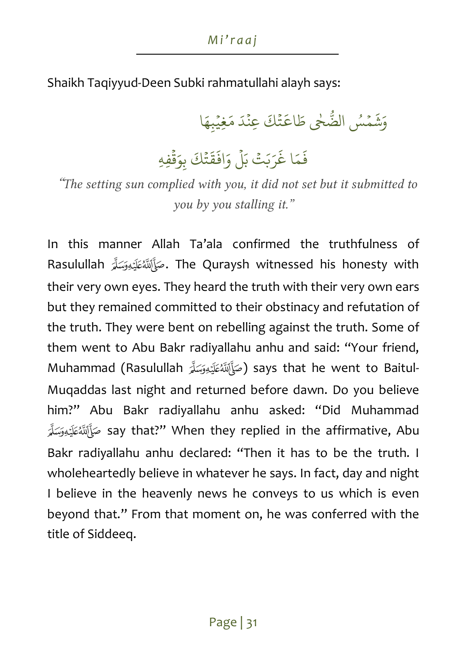Shaikh Taqiyyud-Deen Subki rahmatullahi alayh says:

ءِ و<br>ھس  $\tilde{\mathbf{r}}$ وَشَمْسُ الضُّحٰى طَاعَتْكَ  $\ddot{\phantom{0}}$ ِ<br>م َطَاعَتْكَ عِنْدَ مَغِيْبِهَا  $\ddot{\cdot}$  $\frac{1}{2}$ 

ا َ م  $\frac{1}{2}$ فَمَا غَرَبَتْ  $\ddot{\cdot}$ غَرَبَتْ بَلْ وَافَقَتْكَ ہ<br>آ ់  $\frac{1}{2}$ ق وَافَقَتْكَ بِوَقَٰفِهِ ៝

"*The setting sun complied with you, it did not set but it submitted to you by you stalling it."* 

In this manner Allah Ta'ala confirmed the truthfulness of Rasulullah . The Quraysh witnessed his honesty with their very own eyes. They heard the truth with their very own ears but they remained committed to their obstinacy and refutation of the truth. They were bent on rebelling against the truth. Some of them went to Abu Bakr radiyallahu anhu and said: "Your friend, Muhammad (Rasulullah مَكَأَلِلْتَهُ عَلَيْهِ وَسَكَّرَ) says that he went to Baitul-Muqaddas last night and returned before dawn. Do you believe him?" Abu Bakr radiyallahu anhu asked: "Did Muhamma d say that?" When they replied in the affirmative, Abu Bakr radiyallahu anhu declared: "Then it has to be the truth. I wholeheartedly believe in whatever he says. In fact, day and night I believe in the heavenly news he conveys to us which is even beyond that." From that moment on, he was conferred with the title of Siddeeq.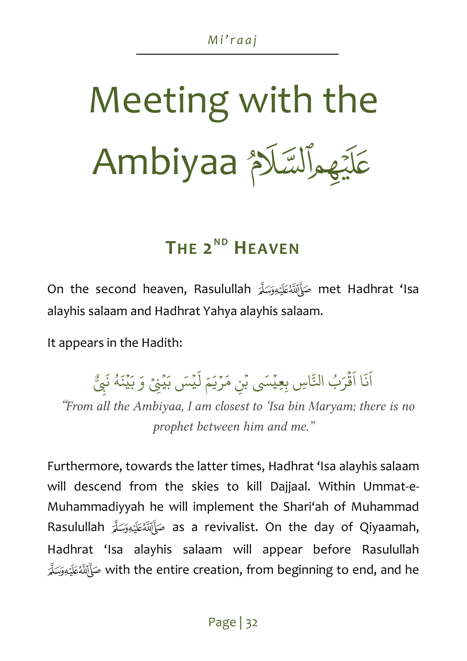# Meeting with the عَلَيْهِمِالسَّلَامُ Ambiyaa

# **THE 2 ND HEAVEN**

On the second heaven, Rasulullah met Hadhrat 'Isa alayhis salaam and Hadhrat Yahya alayhis salaam.

It appears in the Hadith:

ا  $\ddot{\cdot}$ ن َ ا َبُ ر ق <u>۠</u> َ اَقْرَبُ النَّاسِ بِعِيْسَى بْنِ مَرْيَمَ لَيْسَ ٝ<br>` ؙ<br>
<sup>ٔ</sup>  $\frac{1}{1}$ لَيْسَ بَيْنِيْ وَ بَيْنَهُ نَبِيٌّ ٝ<br>ٌ و ٝ<br>ٌ  $\ddot{\cdot}$ ن

"*From all the Ambiyaa, I am closest to 'Isa bin Maryam; there is no prophet between him and me."* 

Furthermore, towards the latter times, Hadhrat 'Isa alayhis salaam will descend from the skies to kill Dajjaal. Within Ummat-e-Muhammadiyyah he will implement the Shari'ah of Muhammad Rasulullah مَأَأَلَلَهُ عَلَيْهِ مَسَلَّةِ as a revivalist. On the day of Qiyaamah, Hadhrat 'Isa alayhis salaam will appear before Rasu lullah with the entire creation, from beginning to end, and he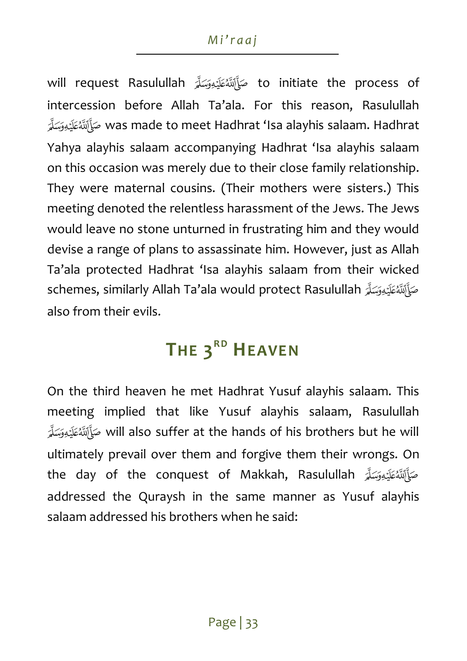will request Rasulullah to initiate the process of intercession before Allah Ta'ala. For this reason, Rasulullah was made to meet Hadhrat 'Isa alayhis salaam. Hadhrat Yahya alayhis salaam accompanying Hadhrat 'Isa alayhis salaam on this occasion was merely due to their close family relationship. They were maternal cousins. (Their mothers were sisters.) This meeting denoted the relentless harassment of the Jews. The Jews would leave no stone unturned in frustrating him and they would devise a range of plans to assassinate him. However, just as Allah Ta'ala protected Hadhrat 'Isa alayhis salaam from their wicked schemes, similarly Allah Ta'ala would protect Rasul ullah also from their evils.

# **THE 3 R D HEAVEN**

On the third heaven he met Hadhrat Yusuf alayhis salaam. This meeting implied that like Yusuf alayhis salaam, Ras ulullah will also suffer at the hands of his brothers but he will ultimately prevail over them and forgive them their wrongs. On the day of the conquest of Makkah, Rasulullah addressed the Quraysh in the same manner as Yusuf a layhis salaam addressed his brothers when he said: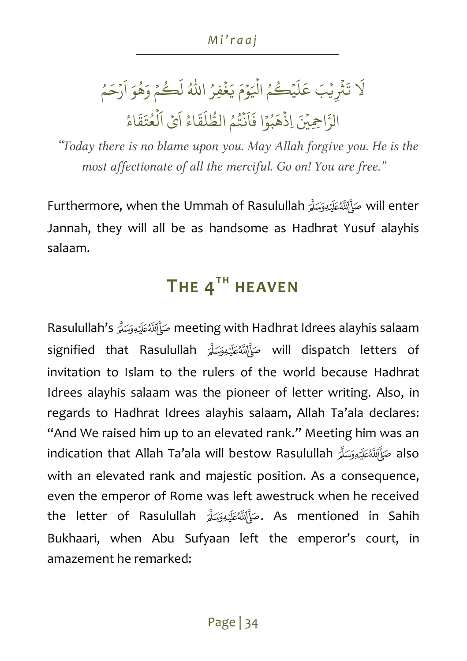ر<br>آ لَا تَثْرِيْبَ ُ<br>ا  $\ddot{\phantom{0}}$  $\ddot{\phantom{0}}$ تَثْرِيْبَ عَلَيْكُمُ و<br>پھ ر<br>آ  $\mu$ ً<br>م عَلَيْكُمُ الْيَوْمَ يَغْفِرُ اللّهُ لَكُمْ ہ<br>ہ ہ<br>آ ِّ بِ  $\ddot{\cdot}$ ֚֘֝ لَكُمْ وَهُوَ أَرْحَمُ و و  $\ddot{\phantom{0}}$ َ ا الرَّاحِيْنَ اِذْهَبُوْا **الله المسلمان المسلمان المسلمان المسلمان المسلمان المسلمان المسلمان المسلمان المسلمان المسلمان المسلمان المسل** ُ  $\frac{1}{2}$ اِذَهَبُوۡا فَاَنۡتُمُ **ٔ** و و<br>په **ٔ** ر<br>آ ا  $\ddot{\cdot}$ فَأَنۡتُمُ الظُّلَقَاءُ و<br>و ر<br>آ الطُّلَقَاءُ اَيْ اَيۡ اَلۡعُنَقَاءُ ُ و<br>ه ا<br>أ َ ا

"*Today there is no blame upon you. May Allah forgive you. He is the most affectionate of all the merciful. Go on! You are free."* 

Furthermore, when the Ummah of Rasulullah صَأَلِّلَهُ عَلَيْهِ وَسَلَّهَ Furthermore, when the Ummah of Rasulullah Jannah, they will all be as handsome as Hadhrat Yusuf alayhis salaam.

# $\mathbf{T}$ HE 4<sup>TH</sup> HEAVEN

Rasulullah's meeting with Hadhrat Idrees alayhis salaam signified that Rasulullah will dispatch letters of invitation to Islam to the rulers of the world because Hadhrat Idrees alayhis salaam was the pioneer of letter writing. Also, in regards to Hadhrat Idrees alayhis salaam, Allah Ta'ala declares: "And We raised him up to an elevated rank." Meeting him was an indication that Allah Ta'ala will bestow Rasulullah حَإَلَهَ هَائِدَهِ also with an elevated rank and majestic position. As a consequence, even the emperor of Rome was left awestruck when he received the letter of Rasulullah . As mentioned in Sahih Bukhaari, when Abu Sufyaan left the emperor's court, in amazement he remarked: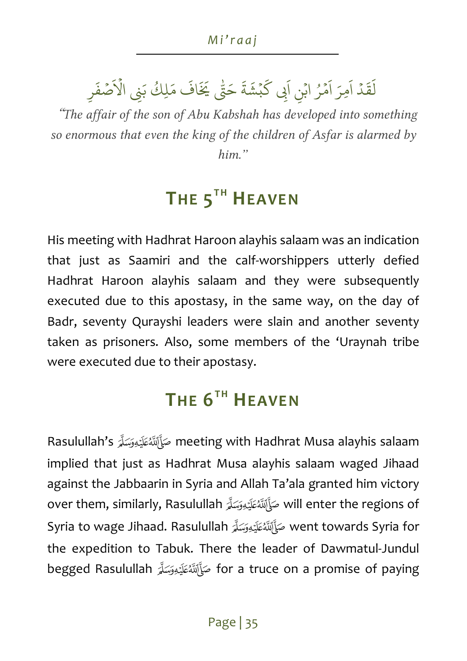ہ<br>ا دگر<br>د  $\frac{1}{2}$ ق  $\frac{1}{1}$ لقَدْ َ اَمِرَ اَمْرُ ُ <u>ٰ</u> َ امْرُ ابْنِ ابِي ْ م َ ابي  $\frac{1}{2}$ ة ្ត្ ش ب ٝ<br>ٌ ٍ<br>ج كَبْشَةَ حَتَّى يَخَافَ مَلِكُ بَنِي الْأَصَْفَرِ  $\ddot{\cdot}$ ل<br>أَصۡفَ اV

"*The affair of the son of Abu Kabshah has developed into something so enormous that even the king of the children of Asfar is alarmed by him."*

# **THE 5 TH HEAVEN**

His meeting with Hadhrat Haroon alayhis salaam was an indication that just as Saamiri and the calf-worshippers utterly defied Hadhrat Haroon alayhis salaam and they were subsequently executed due to this apostasy, in the same way, on the day of Badr, seventy Qurayshi leaders were slain and another seventy taken as prisoners. Also, some members of the 'Uraynah tribe were executed due to their apostasy.

# **THE 6 TH HEAVEN**

Rasulullah's meeting with Hadhrat Musa alayhis salaam implied that just as Hadhrat Musa alayhis salaam waged Jihaad against the Jabbaarin in Syria and Allah Ta'ala granted him victory over them, similarly, Rasulullah صَبَأَلَلَهُ عَلَيْهِ وَسَلَّةِ will enter the regions of Syria to wage Jihaad. Rasulullah went towards Syria for the expedition to Tabuk. There the leader of Dawmatul-Jundul begged Rasulullah صَأَلَتْهُ عَلَيْهِ for a truce on a promise of paying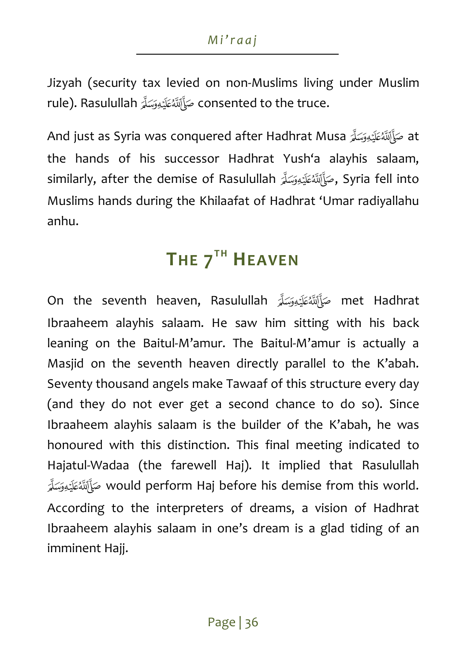Jizyah (security tax levied on non-Muslims living under Muslim rule). Rasulullah صَرَّابَتَنَّ عَلَيْهِ وَسَلَّرَ consented to the truce.

And just as Syria was conquered after Hadhrat Musa حَبَأَلَتْهُ عَلَيْهِ صَلَّا ِ And just as Syria was conquered after Hadhrat Musa the hands of his successor Hadhrat Yush'a alayhis salaam, similarly, after the demise of Rasulullah مَكَأَلِّلَهُ عَلَيْهِ وَسَلَّهُ similarly, after the demise of Rasulullah Muslims hands during the Khilaafat of Hadhrat 'Umar radiyallahu anhu.

# **THE 7 TH HEAVEN**

On the seventh heaven, Rasulullah met Hadhrat Ibraaheem alayhis salaam. He saw him sitting with his back leaning on the Baitul-M'amur. The Baitul-M'amur is actually a Masjid on the seventh heaven directly parallel to the K'abah. Seventy thousand angels make Tawaaf of this structure every day (and they do not ever get a second chance to do so). Since Ibraaheem alayhis salaam is the builder of the K'abah, he was honoured with this distinction. This final meeting indicated to Hajatul-Wadaa (the farewell Haj). It implied that R asulullah would perform Haj before his demise from this world. According to the interpreters of dreams, a vision of Hadhrat Ibraaheem alayhis salaam in one's dream is a glad tiding of an imminent Hajj.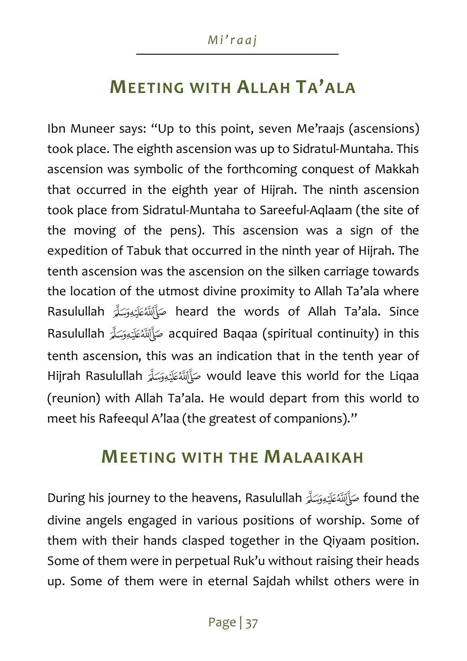# **MEETING WITH ALLAH TA'ALA**

Ibn Muneer says: "Up to this point, seven Me'raajs (ascensions) took place. The eighth ascension was up to Sidratul-Muntaha. This ascension was symbolic of the forthcoming conquest of Makkah that occurred in the eighth year of Hijrah. The ninth ascension took place from Sidratul-Muntaha to Sareeful-Aqlaam (the site of the moving of the pens). This ascension was a sign of the expedition of Tabuk that occurred in the ninth year of Hijrah. The tenth ascension was the ascension on the silken carriage towards the location of the utmost divine proximity to Allah Ta'ala where Rasulullah heard the words of Allah Ta'ala. Since Rasulullah acquired Baqaa (spiritual continuity) in this tenth ascension, this was an indication that in the tenth year of Hijrah Rasulullah صَأَلَتَهُ عَلَيْهِ وَسَلَّةِ Hijrah Rasulullah صَلَّة (reunion) with Allah Ta'ala. He would depart from this world to meet his Rafeequl A'laa (the greatest of companions)."

#### **MEETING WITH THE MALAAIKAH**

During his journey to the heavens, Rasulullah صَأَلِّلَهُ عَلَيْهِ وَسَلَّمَ During his journey to the heavens, Rasulullah divine angels engaged in various positions of worship. Some of them with their hands clasped together in the Qiyaam position. Some of them were in perpetual Ruk'u without raising their heads up. Some of them were in eternal Sajdah whilst others were in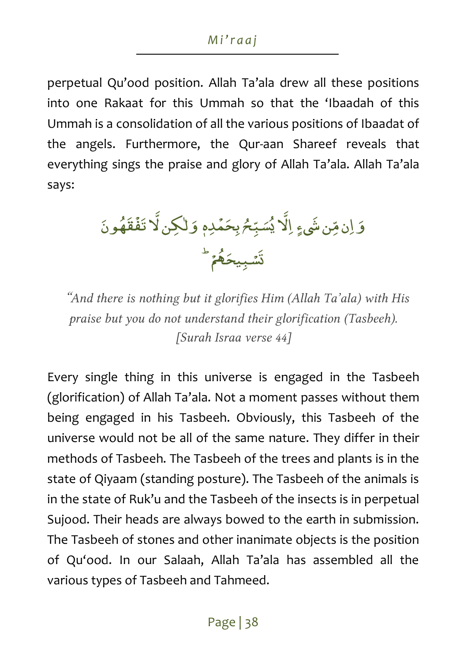perpetual Qu'ood position. Allah Ta'ala drew all these positions into one Rakaat for this Ummah so that the 'Ibaadah of this Ummah is a consolidation of all the various positions of Ibaadat of the angels. Furthermore, the Qur-aan Shareef reveals that everything sings the praise and glory of Allah Ta'ala. Allah Ta'ala says:

Í وَ اِن مِّن شَىءٍ اِلاَ يَسَبِّحُ -Ĩ ؙۭۺۜ**ۑؚٞڂۭڔؠۘڂڡٞ**ڸ؋ ْ بِحَمۡدِهٖ وَلَٰكِن ا<br>ا أ وَ لَكِن لَا تَفَقَّهُونَ ់ ف ت تَ*شَ*بِيحَ**هُ**مْ

"*And there is nothing but it glorifies Him (Allah Ta'ala) with His praise but you do not understand their glorification (Tasbeeh). [Surah Israa verse 44]* 

Every single thing in this universe is engaged in the Tasbeeh (glorification) of Allah Ta'ala. Not a moment passes without them being engaged in his Tasbeeh. Obviously, this Tasbeeh of the universe would not be all of the same nature. They differ in their methods of Tasbeeh. The Tasbeeh of the trees and plants is in the state of Qiyaam (standing posture). The Tasbeeh of the animals is in the state of Ruk'u and the Tasbeeh of the insects is in perpetual Sujood. Their heads are always bowed to the earth in submission. The Tasbeeh of stones and other inanimate objects is the position of Qu'ood. In our Salaah, Allah Ta'ala has assembled all the various types of Tasbeeh and Tahmeed.